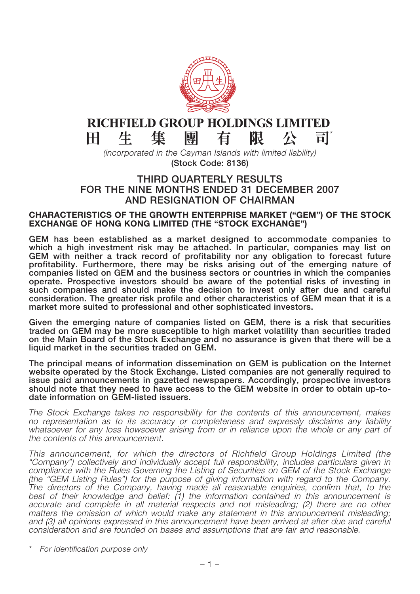

#### RICHFIELD GROUP HOLDINGS LIMITED 集 生 團 有 限 公  $\mathbf{H}^{\prime}$ Ħ

*(incorporated in the Cayman Islands with limited liability)* **(Stock Code: 8136)**

#### **THIRD QUARTERLY RESULTS FOR THE NINE MONTHS ENDED 31 DECEMBER 2007 AND RESIGNATION OF CHAIRMAN**

#### **CHARACTERISTICS OF THE GROWTH ENTERPRISE MARKET ("GEM") OF THE STOCK EXCHANGE OF HONG KONG LIMITED (THE "STOCK EXCHANGE")**

**GEM has been established as a market designed to accommodate companies to which a high investment risk may be attached. In particular, companies may list on GEM with neither a track record of profitability nor any obligation to forecast future profitability. Furthermore, there may be risks arising out of the emerging nature of companies listed on GEM and the business sectors or countries in which the companies operate. Prospective investors should be aware of the potential risks of investing in such companies and should make the decision to invest only after due and careful consideration. The greater risk profile and other characteristics of GEM mean that it is a market more suited to professional and other sophisticated investors.**

**Given the emerging nature of companies listed on GEM, there is a risk that securities traded on GEM may be more susceptible to high market volatility than securities traded on the Main Board of the Stock Exchange and no assurance is given that there will be a liquid market in the securities traded on GEM.**

**The principal means of information dissemination on GEM is publication on the Internet website operated by the Stock Exchange. Listed companies are not generally required to issue paid announcements in gazetted newspapers. Accordingly, prospective investors should note that they need to have access to the GEM website in order to obtain up-todate information on GEM-listed issuers.**

The Stock Exchange takes no responsibility for the contents of this announcement, makes no representation as to its accuracy or completeness and expressly disclaims any liability whatsoever for any loss howsoever arising from or in reliance upon the whole or any part of the contents of this announcement.

This announcement, for which the directors of Richfield Group Holdings Limited (the "Company") collectively and individually accept full responsibility, includes particulars given in compliance with the Rules Governing the Listing of Securities on GEM of the Stock Exchange (the "GEM Listing Rules") for the purpose of giving information with regard to the Company. The directors of the Company, having made all reasonable enquiries, confirm that, to the best of their knowledge and belief: (1) the information contained in this announcement is accurate and complete in all material respects and not misleading; (2) there are no other matters the omission of which would make any statement in this announcement misleading; and (3) all opinions expressed in this announcement have been arrived at after due and careful consideration and are founded on bases and assumptions that are fair and reasonable.

\* For identification purpose only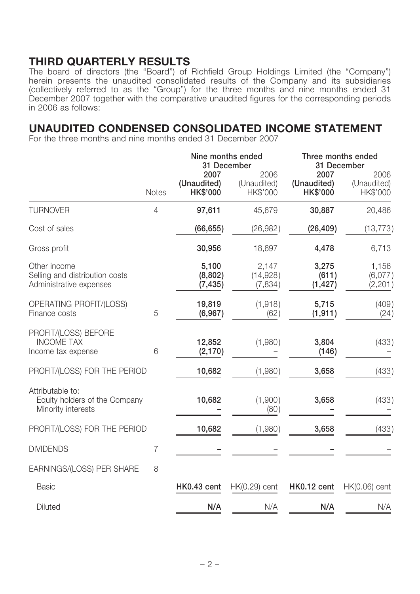## **THIRD QUARTERLY RESULTS**

The board of directors (the "Board") of Richfield Group Holdings Limited (the "Company") herein presents the unaudited consolidated results of the Company and its subsidiaries (collectively referred to as the "Group") for the three months and nine months ended 31 December 2007 together with the comparative unaudited figures for the corresponding periods in 2006 as follows:

## **UNAUDITED CONDENSED CONSOLIDATED INCOME STATEMENT**

For the three months and nine months ended 31 December 2007

|                                                                           |                |                                        | Nine months ended<br>31 December | Three months ended<br>31 December      |                                 |  |
|---------------------------------------------------------------------------|----------------|----------------------------------------|----------------------------------|----------------------------------------|---------------------------------|--|
|                                                                           | <b>Notes</b>   | 2007<br>(Unaudited)<br><b>HK\$'000</b> | 2006<br>(Unaudited)<br>HK\$'000  | 2007<br>(Unaudited)<br><b>HK\$'000</b> | 2006<br>(Unaudited)<br>HK\$'000 |  |
| <b>TURNOVER</b>                                                           | $\overline{4}$ | 97,611                                 | 45,679                           | 30,887                                 | 20,486                          |  |
| Cost of sales                                                             |                | (66, 655)                              | (26, 982)                        | (26, 409)                              | (13, 773)                       |  |
| Gross profit                                                              |                | 30,956                                 | 18,697                           | 4,478                                  | 6,713                           |  |
| Other income<br>Selling and distribution costs<br>Administrative expenses |                | 5,100<br>(8,802)<br>(7, 435)           | 2,147<br>(14, 928)<br>(7,834)    | 3,275<br>(611)<br>(1, 427)             | 1,156<br>(6,077)<br>(2, 201)    |  |
| OPERATING PROFIT/(LOSS)<br>Finance costs                                  | 5              | 19,819<br>(6, 967)                     | (1,918)<br>(62)                  | 5,715<br>(1, 911)                      | (409)<br>(24)                   |  |
| PROFIT/(LOSS) BEFORE<br><b>INCOME TAX</b><br>Income tax expense           | 6              | 12,852<br>(2, 170)                     | (1,980)                          | 3,804<br>(146)                         | (433)                           |  |
| PROFIT/(LOSS) FOR THE PERIOD                                              |                | 10,682                                 | (1,980)                          | 3,658                                  | (433)                           |  |
| Attributable to:<br>Equity holders of the Company<br>Minority interests   |                | 10,682                                 | (1,900)<br>(80)                  | 3,658                                  | (433)                           |  |
| PROFIT/(LOSS) FOR THE PERIOD                                              |                | 10,682                                 | (1,980)                          | 3,658                                  | (433)                           |  |
| <b>DIVIDENDS</b>                                                          | 7              |                                        |                                  |                                        |                                 |  |
| EARNINGS/(LOSS) PER SHARE                                                 | 8              |                                        |                                  |                                        |                                 |  |
| <b>Basic</b>                                                              |                | HK0.43 cent                            | $HK(0.29)$ cent                  | HK0.12 cent                            | $HK(0.06)$ cent                 |  |
| Diluted                                                                   |                | N/A                                    | N/A                              | N/A                                    | N/A                             |  |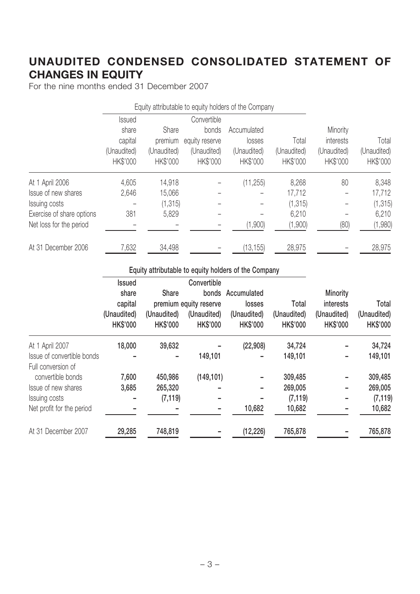# **UNAUDITED CONDENSED CONSOLIDATED STATEMENT OF CHANGES IN EQUITY**

For the nine months ended 31 December 2007

|                           |               |             |                | Equity attributable to equity holders of the Company |             |             |             |
|---------------------------|---------------|-------------|----------------|------------------------------------------------------|-------------|-------------|-------------|
|                           | <b>Issued</b> |             | Convertible    |                                                      |             |             |             |
|                           | share         | Share       | bonds          | Accumulated                                          |             | Minority    |             |
|                           | capital       | premium     | equity reserve | losses                                               | Total       | interests   | Total       |
|                           | (Unaudited)   | (Unaudited) | (Unaudited)    | (Unaudited)                                          | (Unaudited) | (Unaudited) | (Unaudited) |
|                           | HK\$'000      | HK\$'000    | HK\$'000       | HK\$'000                                             | HK\$'000    | HK\$'000    | HK\$'000    |
| At 1 April 2006           | 4,605         | 14,918      |                | (11, 255)                                            | 8,268       | 80          | 8,348       |
| Issue of new shares       | 2,646         | 15,066      |                |                                                      | 17,712      |             | 17,712      |
| Issuing costs             |               | (1, 315)    |                |                                                      | (1, 315)    |             | (1, 315)    |
| Exercise of share options | 381           | 5,829       |                |                                                      | 6,210       |             | 6,210       |
| Net loss for the period   |               |             |                | (1,900)                                              | (1,900)     | (80)        | (1,980)     |
| At 31 December 2006       | 7,632         | 34,498      |                | (13, 155)                                            | 28,975      |             | 28,975      |

#### **Equity attributable to equity holders of the Company**

|                            | Issued          |                 | Convertible            |                   |                 |                 |                 |
|----------------------------|-----------------|-----------------|------------------------|-------------------|-----------------|-----------------|-----------------|
|                            | share           | <b>Share</b>    |                        | bonds Accumulated |                 | Minority        |                 |
|                            | capital         |                 | premium equity reserve | losses            | Total           | interests       | Total           |
|                            | (Unaudited)     | (Unaudited)     | (Unaudited)            | (Unaudited)       | (Unaudited)     | (Unaudited)     | (Unaudited)     |
|                            | <b>HK\$'000</b> | <b>HK\$'000</b> | <b>HK\$'000</b>        | <b>HK\$'000</b>   | <b>HK\$'000</b> | <b>HK\$'000</b> | <b>HK\$'000</b> |
| At 1 April 2007            | 18,000          | 39,632          |                        | (22,908)          | 34,724          |                 | 34,724          |
| Issue of convertible bonds |                 |                 | 149,101                |                   | 149,101         |                 | 149,101         |
| Full conversion of         |                 |                 |                        |                   |                 |                 |                 |
| convertible bonds          | 7,600           | 450,986         | (149, 101)             |                   | 309,485         |                 | 309,485         |
| Issue of new shares        | 3,685           | 265,320         |                        |                   | 269,005         |                 | 269,005         |
| Issuing costs              |                 | (7, 119)        |                        |                   | (7, 119)        |                 | (7, 119)        |
| Net profit for the period  |                 |                 |                        | 10,682            | 10,682          |                 | 10,682          |
| At 31 December 2007        | 29,285          | 748,819         |                        | (12, 226)         | 765,878         |                 | 765,878         |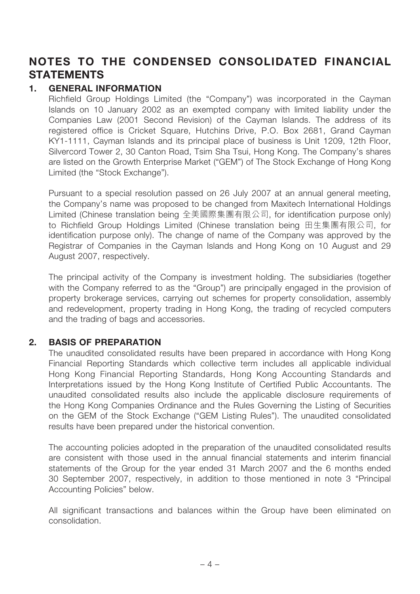# **NOTES TO THE CONDENSED CONSOLIDATED FINANCIAL STATEMENTS**

#### **1. GENERAL INFORMATION**

Richfield Group Holdings Limited (the "Company") was incorporated in the Cayman Islands on 10 January 2002 as an exempted company with limited liability under the Companies Law (2001 Second Revision) of the Cayman Islands. The address of its registered office is Cricket Square, Hutchins Drive, P.O. Box 2681, Grand Cayman KY1-1111, Cayman Islands and its principal place of business is Unit 1209, 12th Floor, Silvercord Tower 2, 30 Canton Road, Tsim Sha Tsui, Hong Kong. The Company's shares are listed on the Growth Enterprise Market ("GEM") of The Stock Exchange of Hong Kong Limited (the "Stock Exchange").

Pursuant to a special resolution passed on 26 July 2007 at an annual general meeting, the Company's name was proposed to be changed from Maxitech International Holdings Limited (Chinese translation being 全美國際集團有限公司, for identification purpose only) to Richfield Group Holdings Limited (Chinese translation being 田生集團有限公司, for identification purpose only). The change of name of the Company was approved by the Registrar of Companies in the Cayman Islands and Hong Kong on 10 August and 29 August 2007, respectively.

The principal activity of the Company is investment holding. The subsidiaries (together with the Company referred to as the "Group") are principally engaged in the provision of property brokerage services, carrying out schemes for property consolidation, assembly and redevelopment, property trading in Hong Kong, the trading of recycled computers and the trading of bags and accessories.

#### **2. BASIS OF PREPARATION**

The unaudited consolidated results have been prepared in accordance with Hong Kong Financial Reporting Standards which collective term includes all applicable individual Hong Kong Financial Reporting Standards, Hong Kong Accounting Standards and Interpretations issued by the Hong Kong Institute of Certified Public Accountants. The unaudited consolidated results also include the applicable disclosure requirements of the Hong Kong Companies Ordinance and the Rules Governing the Listing of Securities on the GEM of the Stock Exchange ("GEM Listing Rules"). The unaudited consolidated results have been prepared under the historical convention.

The accounting policies adopted in the preparation of the unaudited consolidated results are consistent with those used in the annual financial statements and interim financial statements of the Group for the year ended 31 March 2007 and the 6 months ended 30 September 2007, respectively, in addition to those mentioned in note 3 "Principal Accounting Policies" below.

All significant transactions and balances within the Group have been eliminated on consolidation.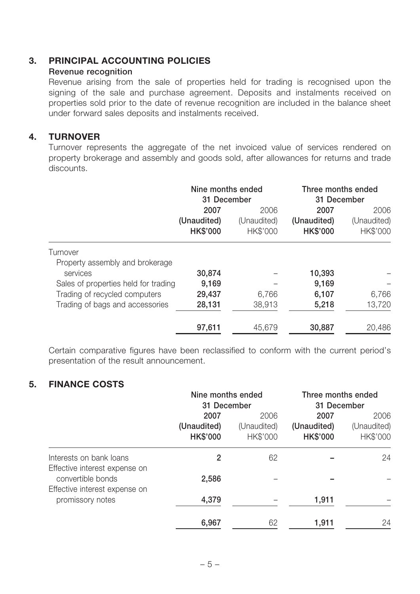#### **3. PRINCIPAL ACCOUNTING POLICIES**

#### **Revenue recognition**

Revenue arising from the sale of properties held for trading is recognised upon the signing of the sale and purchase agreement. Deposits and instalments received on properties sold prior to the date of revenue recognition are included in the balance sheet under forward sales deposits and instalments received.

#### **4. TURNOVER**

Turnover represents the aggregate of the net invoiced value of services rendered on property brokerage and assembly and goods sold, after allowances for returns and trade discounts.

|                                             | Nine months ended<br>31 December |                         | Three months ended<br>31 December |                         |
|---------------------------------------------|----------------------------------|-------------------------|-----------------------------------|-------------------------|
|                                             | 2007<br>2006                     |                         | 2007                              | 2006                    |
|                                             | (Unaudited)<br><b>HK\$'000</b>   | (Unaudited)<br>HK\$'000 | (Unaudited)<br><b>HK\$'000</b>    | (Unaudited)<br>HK\$'000 |
| Turnover                                    |                                  |                         |                                   |                         |
| Property assembly and brokerage<br>services | 30,874                           |                         | 10,393                            |                         |
| Sales of properties held for trading        | 9,169                            |                         | 9,169                             |                         |
| Trading of recycled computers               | 29,437                           | 6,766                   | 6,107                             | 6,766                   |
| Trading of bags and accessories             | 28,131                           | 38,913                  | 5,218                             | 13,720                  |
|                                             | 97,611                           | 45,679                  | 30,887                            | 20,486                  |

Certain comparative figures have been reclassified to conform with the current period's presentation of the result announcement.

#### **5. FINANCE COSTS**

|                                                                                                                                    | Nine months ended<br>31 December       |                                 | Three months ended<br>31 December      |                                 |
|------------------------------------------------------------------------------------------------------------------------------------|----------------------------------------|---------------------------------|----------------------------------------|---------------------------------|
|                                                                                                                                    | 2007<br>(Unaudited)<br><b>HK\$'000</b> | 2006<br>(Unaudited)<br>HK\$'000 | 2007<br>(Unaudited)<br><b>HK\$'000</b> | 2006<br>(Unaudited)<br>HK\$'000 |
| Interests on bank loans<br>Effective interest expense on<br>convertible bonds<br>Effective interest expense on<br>promissory notes | 2                                      | 62                              |                                        | 24                              |
|                                                                                                                                    | 2,586                                  |                                 |                                        |                                 |
|                                                                                                                                    | 4,379                                  |                                 | 1,911                                  |                                 |
|                                                                                                                                    | 6,967                                  | 62                              | 1,911                                  | 24                              |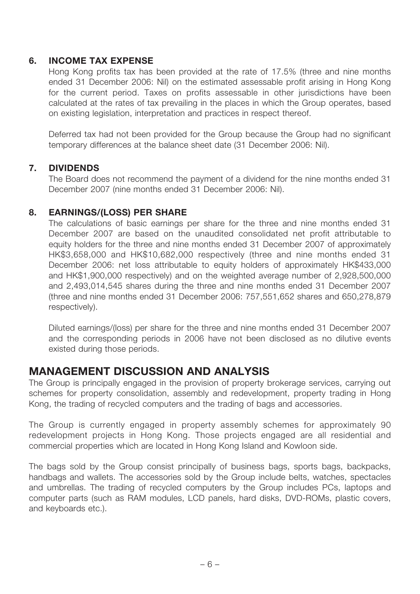#### **6. INCOME TAX EXPENSE**

Hong Kong profits tax has been provided at the rate of 17.5% (three and nine months ended 31 December 2006: Nil) on the estimated assessable profit arising in Hong Kong for the current period. Taxes on profits assessable in other jurisdictions have been calculated at the rates of tax prevailing in the places in which the Group operates, based on existing legislation, interpretation and practices in respect thereof.

Deferred tax had not been provided for the Group because the Group had no significant temporary differences at the balance sheet date (31 December 2006: Nil).

#### **7. DIVIDENDS**

The Board does not recommend the payment of a dividend for the nine months ended 31 December 2007 (nine months ended 31 December 2006: Nil).

#### **8. EARNINGS/(LOSS) PER SHARE**

The calculations of basic earnings per share for the three and nine months ended 31 December 2007 are based on the unaudited consolidated net profit attributable to equity holders for the three and nine months ended 31 December 2007 of approximately HK\$3,658,000 and HK\$10,682,000 respectively (three and nine months ended 31 December 2006: net loss attributable to equity holders of approximately HK\$433,000 and HK\$1,900,000 respectively) and on the weighted average number of 2,928,500,000 and 2,493,014,545 shares during the three and nine months ended 31 December 2007 (three and nine months ended 31 December 2006: 757,551,652 shares and 650,278,879 respectively).

Diluted earnings/(loss) per share for the three and nine months ended 31 December 2007 and the corresponding periods in 2006 have not been disclosed as no dilutive events existed during those periods.

## **MANAGEMENT DISCUSSION AND ANALYSIS**

The Group is principally engaged in the provision of property brokerage services, carrying out schemes for property consolidation, assembly and redevelopment, property trading in Hong Kong, the trading of recycled computers and the trading of bags and accessories.

The Group is currently engaged in property assembly schemes for approximately 90 redevelopment projects in Hong Kong. Those projects engaged are all residential and commercial properties which are located in Hong Kong Island and Kowloon side.

The bags sold by the Group consist principally of business bags, sports bags, backpacks, handbags and wallets. The accessories sold by the Group include belts, watches, spectacles and umbrellas. The trading of recycled computers by the Group includes PCs, laptops and computer parts (such as RAM modules, LCD panels, hard disks, DVD-ROMs, plastic covers, and keyboards etc.).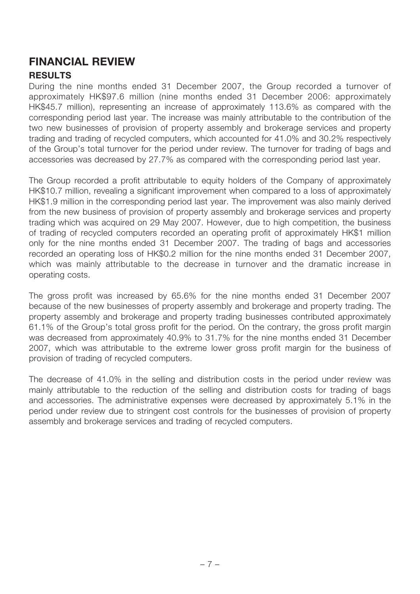# **FINANCIAL REVIEW**

#### **RESULTS**

During the nine months ended 31 December 2007, the Group recorded a turnover of approximately HK\$97.6 million (nine months ended 31 December 2006: approximately HK\$45.7 million), representing an increase of approximately 113.6% as compared with the corresponding period last year. The increase was mainly attributable to the contribution of the two new businesses of provision of property assembly and brokerage services and property trading and trading of recycled computers, which accounted for 41.0% and 30.2% respectively of the Group's total turnover for the period under review. The turnover for trading of bags and accessories was decreased by 27.7% as compared with the corresponding period last year.

The Group recorded a profit attributable to equity holders of the Company of approximately HK\$10.7 million, revealing a significant improvement when compared to a loss of approximately HK\$1.9 million in the corresponding period last year. The improvement was also mainly derived from the new business of provision of property assembly and brokerage services and property trading which was acquired on 29 May 2007. However, due to high competition, the business of trading of recycled computers recorded an operating profit of approximately HK\$1 million only for the nine months ended 31 December 2007. The trading of bags and accessories recorded an operating loss of HK\$0.2 million for the nine months ended 31 December 2007, which was mainly attributable to the decrease in turnover and the dramatic increase in operating costs.

The gross profit was increased by 65.6% for the nine months ended 31 December 2007 because of the new businesses of property assembly and brokerage and property trading. The property assembly and brokerage and property trading businesses contributed approximately 61.1% of the Group's total gross profit for the period. On the contrary, the gross profit margin was decreased from approximately 40.9% to 31.7% for the nine months ended 31 December 2007, which was attributable to the extreme lower gross profit margin for the business of provision of trading of recycled computers.

The decrease of 41.0% in the selling and distribution costs in the period under review was mainly attributable to the reduction of the selling and distribution costs for trading of bags and accessories. The administrative expenses were decreased by approximately 5.1% in the period under review due to stringent cost controls for the businesses of provision of property assembly and brokerage services and trading of recycled computers.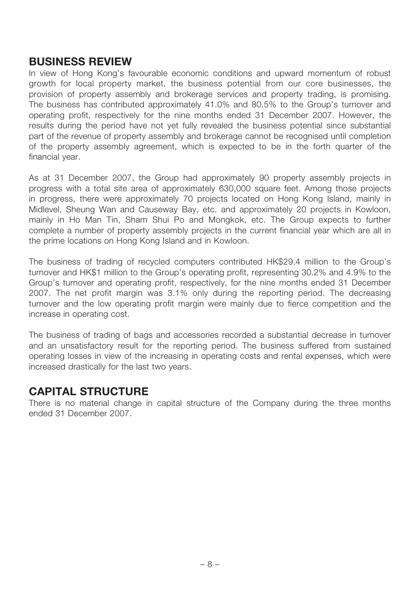## **BUSINESS REVIEW**

In view of Hong Kong's favourable economic conditions and upward momentum of robust growth for local property market, the business potential from our core businesses, the provision of property assembly and brokerage services and property trading, is promising. The business has contributed approximately 41.0% and 80.5% to the Group's turnover and operating profit, respectively for the nine months ended 31 December 2007. However, the results during the period have not yet fully revealed the business potential since substantial part of the revenue of property assembly and brokerage cannot be recognised until completion of the property assembly agreement, which is expected to be in the forth quarter of the financial year.

As at 31 December 2007, the Group had approximately 90 property assembly projects in progress with a total site area of approximately 630,000 square feet. Among those projects in progress, there were approximately 70 projects located on Hong Kong Island, mainly in Midlevel, Sheung Wan and Causeway Bay, etc. and approximately 20 projects in Kowloon, mainly in Ho Man Tin, Sham Shui Po and Mongkok, etc. The Group expects to further complete a number of property assembly projects in the current financial year which are all in the prime locations on Hong Kong Island and in Kowloon.

The business of trading of recycled computers contributed HK\$29.4 million to the Group's turnover and HK\$1 million to the Group's operating profit, representing 30.2% and 4.9% to the Group's turnover and operating profit, respectively, for the nine months ended 31 December 2007. The net profit margin was 3.1% only during the reporting period. The decreasing turnover and the low operating profit margin were mainly due to fierce competition and the increase in operating cost.

The business of trading of bags and accessories recorded a substantial decrease in turnover and an unsatisfactory result for the reporting period. The business suffered from sustained operating losses in view of the increasing in operating costs and rental expenses, which were increased drastically for the last two years.

## **CAPITAL STRUCTURE**

There is no material change in capital structure of the Company during the three months ended 31 December 2007.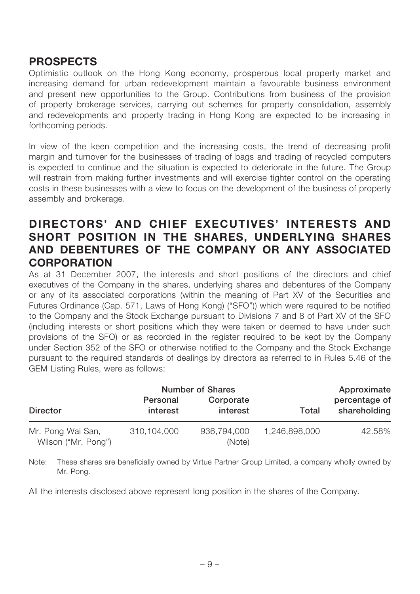## **PROSPECTS**

Optimistic outlook on the Hong Kong economy, prosperous local property market and increasing demand for urban redevelopment maintain a favourable business environment and present new opportunities to the Group. Contributions from business of the provision of property brokerage services, carrying out schemes for property consolidation, assembly and redevelopments and property trading in Hong Kong are expected to be increasing in forthcoming periods.

In view of the keen competition and the increasing costs, the trend of decreasing profit margin and turnover for the businesses of trading of bags and trading of recycled computers is expected to continue and the situation is expected to deteriorate in the future. The Group will restrain from making further investments and will exercise tighter control on the operating costs in these businesses with a view to focus on the development of the business of property assembly and brokerage.

## **DIRECTORS' AND CHIEF EXECUTIVES' INTERESTS AND SHORT POSITION IN THE SHARES, UNDERLYING SHARES AND DEBENTURES OF THE COMPANY OR ANY ASSOCIATED CORPORATION**

As at 31 December 2007, the interests and short positions of the directors and chief executives of the Company in the shares, underlying shares and debentures of the Company or any of its associated corporations (within the meaning of Part XV of the Securities and Futures Ordinance (Cap. 571, Laws of Hong Kong) ("SFO")) which were required to be notified to the Company and the Stock Exchange pursuant to Divisions 7 and 8 of Part XV of the SFO (including interests or short positions which they were taken or deemed to have under such provisions of the SFO) or as recorded in the register required to be kept by the Company under Section 352 of the SFO or otherwise notified to the Company and the Stock Exchange pursuant to the required standards of dealings by directors as referred to in Rules 5.46 of the GEM Listing Rules, were as follows:

|                                          |                      | <b>Number of Shares</b> |               | Approximate                   |
|------------------------------------------|----------------------|-------------------------|---------------|-------------------------------|
| <b>Director</b>                          | Personal<br>interest | Corporate<br>interest   | Total         | percentage of<br>shareholding |
| Mr. Pong Wai San,<br>Wilson ("Mr. Pong") | 310,104,000          | 936,794,000<br>(Note)   | 1,246,898,000 | 42.58%                        |

Note: These shares are beneficially owned by Virtue Partner Group Limited, a company wholly owned by Mr. Pong.

All the interests disclosed above represent long position in the shares of the Company.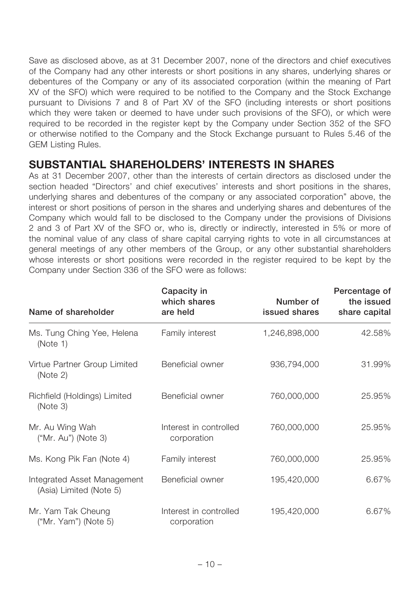Save as disclosed above, as at 31 December 2007, none of the directors and chief executives of the Company had any other interests or short positions in any shares, underlying shares or debentures of the Company or any of its associated corporation (within the meaning of Part XV of the SFO) which were required to be notified to the Company and the Stock Exchange pursuant to Divisions 7 and 8 of Part XV of the SFO (including interests or short positions which they were taken or deemed to have under such provisions of the SFO), or which were required to be recorded in the register kept by the Company under Section 352 of the SFO or otherwise notified to the Company and the Stock Exchange pursuant to Rules 5.46 of the GEM Listing Rules.

## **SUBSTANTIAL SHAREHOLDERS' INTERESTS IN SHARES**

As at 31 December 2007, other than the interests of certain directors as disclosed under the section headed "Directors' and chief executives' interests and short positions in the shares, underlying shares and debentures of the company or any associated corporation" above, the interest or short positions of person in the shares and underlying shares and debentures of the Company which would fall to be disclosed to the Company under the provisions of Divisions 2 and 3 of Part XV of the SFO or, who is, directly or indirectly, interested in 5% or more of the nominal value of any class of share capital carrying rights to vote in all circumstances at general meetings of any other members of the Group, or any other substantial shareholders whose interests or short positions were recorded in the register required to be kept by the Company under Section 336 of the SFO were as follows:

| Name of shareholder                                    | Capacity in<br>which shares<br>are held | Number of<br>issued shares | Percentage of<br>the issued<br>share capital |
|--------------------------------------------------------|-----------------------------------------|----------------------------|----------------------------------------------|
| Ms. Tung Ching Yee, Helena<br>(Note 1)                 | Family interest                         | 1,246,898,000              | 42.58%                                       |
| Virtue Partner Group Limited<br>(Note 2)               | Beneficial owner                        | 936,794,000                | 31.99%                                       |
| Richfield (Holdings) Limited<br>(Note 3)               | Beneficial owner                        | 760,000,000                | 25.95%                                       |
| Mr. Au Wing Wah<br>("Mr. Au") (Note 3)                 | Interest in controlled<br>corporation   | 760,000,000                | 25.95%                                       |
| Ms. Kong Pik Fan (Note 4)                              | Family interest                         | 760,000,000                | 25.95%                                       |
| Integrated Asset Management<br>(Asia) Limited (Note 5) | Beneficial owner                        | 195,420,000                | 6.67%                                        |
| Mr. Yam Tak Cheung<br>("Mr. Yam") (Note 5)             | Interest in controlled<br>corporation   | 195,420,000                | 6.67%                                        |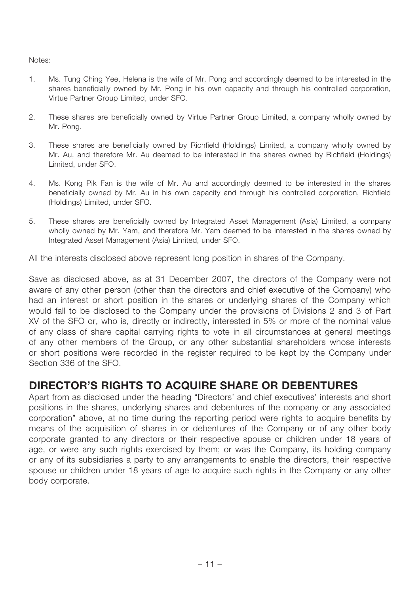Notes:

- 1. Ms. Tung Ching Yee, Helena is the wife of Mr. Pong and accordingly deemed to be interested in the shares beneficially owned by Mr. Pong in his own capacity and through his controlled corporation, Virtue Partner Group Limited, under SFO.
- 2. These shares are beneficially owned by Virtue Partner Group Limited, a company wholly owned by Mr. Pong.
- 3. These shares are beneficially owned by Richfield (Holdings) Limited, a company wholly owned by Mr. Au, and therefore Mr. Au deemed to be interested in the shares owned by Richfield (Holdings) Limited, under SFO.
- 4. Ms. Kong Pik Fan is the wife of Mr. Au and accordingly deemed to be interested in the shares beneficially owned by Mr. Au in his own capacity and through his controlled corporation, Richfield (Holdings) Limited, under SFO.
- 5. These shares are beneficially owned by Integrated Asset Management (Asia) Limited, a company wholly owned by Mr. Yam, and therefore Mr. Yam deemed to be interested in the shares owned by Integrated Asset Management (Asia) Limited, under SFO.

All the interests disclosed above represent long position in shares of the Company.

Save as disclosed above, as at 31 December 2007, the directors of the Company were not aware of any other person (other than the directors and chief executive of the Company) who had an interest or short position in the shares or underlying shares of the Company which would fall to be disclosed to the Company under the provisions of Divisions 2 and 3 of Part XV of the SFO or, who is, directly or indirectly, interested in 5% or more of the nominal value of any class of share capital carrying rights to vote in all circumstances at general meetings of any other members of the Group, or any other substantial shareholders whose interests or short positions were recorded in the register required to be kept by the Company under Section 336 of the SFO.

## **DIRECTOR'S RIGHTS TO ACQUIRE SHARE OR DEBENTURES**

Apart from as disclosed under the heading "Directors' and chief executives' interests and short positions in the shares, underlying shares and debentures of the company or any associated corporation" above, at no time during the reporting period were rights to acquire benefits by means of the acquisition of shares in or debentures of the Company or of any other body corporate granted to any directors or their respective spouse or children under 18 years of age, or were any such rights exercised by them; or was the Company, its holding company or any of its subsidiaries a party to any arrangements to enable the directors, their respective spouse or children under 18 years of age to acquire such rights in the Company or any other body corporate.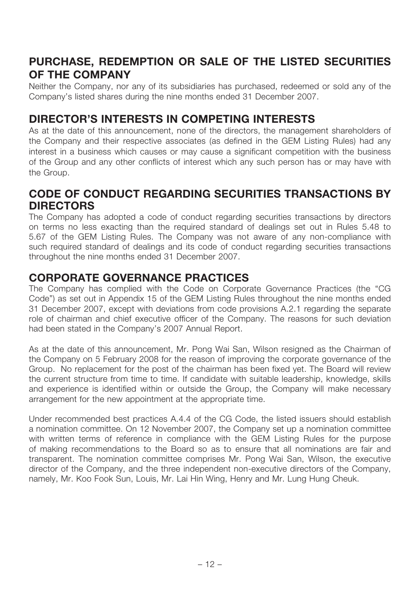# **PURCHASE, REDEMPTION OR SALE OF THE LISTED SECURITIES OF THE COMPANY**

Neither the Company, nor any of its subsidiaries has purchased, redeemed or sold any of the Company's listed shares during the nine months ended 31 December 2007.

## **DIRECTOR'S INTERESTS IN COMPETING INTERESTS**

As at the date of this announcement, none of the directors, the management shareholders of the Company and their respective associates (as defined in the GEM Listing Rules) had any interest in a business which causes or may cause a significant competition with the business of the Group and any other conflicts of interest which any such person has or may have with the Group.

## **CODE OF CONDUCT REGARDING SECURITIES TRANSACTIONS BY DIRECTORS**

The Company has adopted a code of conduct regarding securities transactions by directors on terms no less exacting than the required standard of dealings set out in Rules 5.48 to 5.67 of the GEM Listing Rules. The Company was not aware of any non-compliance with such required standard of dealings and its code of conduct regarding securities transactions throughout the nine months ended 31 December 2007.

## **CORPORATE GOVERNANCE PRACTICES**

The Company has complied with the Code on Corporate Governance Practices (the "CG Code") as set out in Appendix 15 of the GEM Listing Rules throughout the nine months ended 31 December 2007, except with deviations from code provisions A.2.1 regarding the separate role of chairman and chief executive officer of the Company. The reasons for such deviation had been stated in the Company's 2007 Annual Report.

As at the date of this announcement, Mr. Pong Wai San, Wilson resigned as the Chairman of the Company on 5 February 2008 for the reason of improving the corporate governance of the Group. No replacement for the post of the chairman has been fixed yet. The Board will review the current structure from time to time. If candidate with suitable leadership, knowledge, skills and experience is identified within or outside the Group, the Company will make necessary arrangement for the new appointment at the appropriate time.

Under recommended best practices A.4.4 of the CG Code, the listed issuers should establish a nomination committee. On 12 November 2007, the Company set up a nomination committee with written terms of reference in compliance with the GEM Listing Rules for the purpose of making recommendations to the Board so as to ensure that all nominations are fair and transparent. The nomination committee comprises Mr. Pong Wai San, Wilson, the executive director of the Company, and the three independent non-executive directors of the Company, namely, Mr. Koo Fook Sun, Louis, Mr. Lai Hin Wing, Henry and Mr. Lung Hung Cheuk.